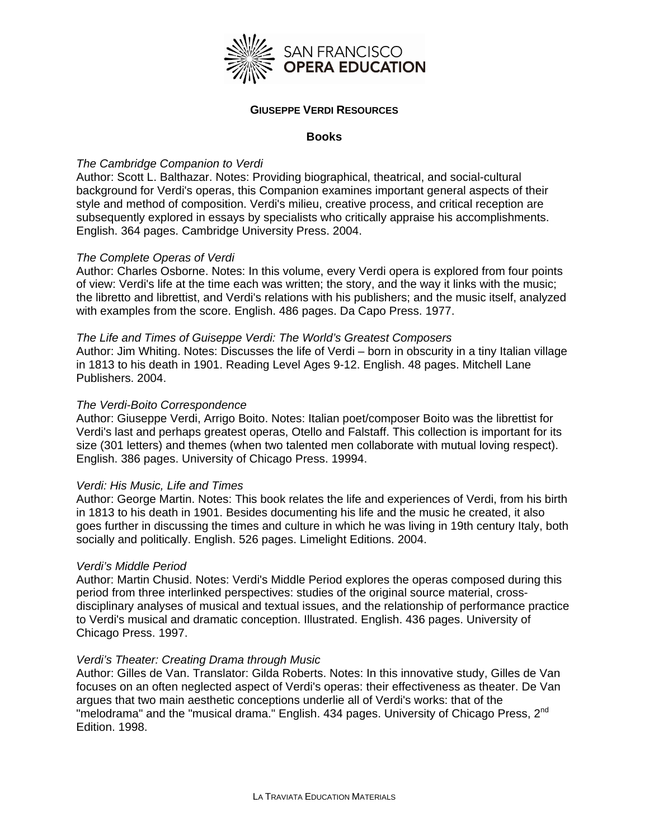

#### **GIUSEPPE VERDI RESOURCES**

#### **Books**

# *The Cambridge Companion to Verdi*

Author: Scott L. Balthazar. Notes: Providing biographical, theatrical, and social-cultural background for Verdi's operas, this Companion examines important general aspects of their style and method of composition. Verdi's milieu, creative process, and critical reception are subsequently explored in essays by specialists who critically appraise his accomplishments. English. 364 pages. Cambridge University Press. 2004.

# *The Complete Operas of Verdi*

Author: Charles Osborne. Notes: In this volume, every Verdi opera is explored from four points of view: Verdi's life at the time each was written; the story, and the way it links with the music; the libretto and librettist, and Verdi's relations with his publishers; and the music itself, analyzed with examples from the score. English. 486 pages. Da Capo Press. 1977.

#### *The Life and Times of Guiseppe Verdi: The World's Greatest Composers*

Author: Jim Whiting. Notes: Discusses the life of Verdi – born in obscurity in a tiny Italian village in 1813 to his death in 1901. Reading Level Ages 9-12. English. 48 pages. Mitchell Lane Publishers. 2004.

## *The Verdi-Boito Correspondence*

Author: Giuseppe Verdi, Arrigo Boito. Notes: Italian poet/composer Boito was the librettist for Verdi's last and perhaps greatest operas, Otello and Falstaff. This collection is important for its size (301 letters) and themes (when two talented men collaborate with mutual loving respect). English. 386 pages. University of Chicago Press. 19994.

## *Verdi: His Music, Life and Times*

Author: George Martin. Notes: This book relates the life and experiences of Verdi, from his birth in 1813 to his death in 1901. Besides documenting his life and the music he created, it also goes further in discussing the times and culture in which he was living in 19th century Italy, both socially and politically. English. 526 pages. Limelight Editions. 2004.

## *Verdi's Middle Period*

Author: Martin Chusid. Notes: Verdi's Middle Period explores the operas composed during this period from three interlinked perspectives: studies of the original source material, crossdisciplinary analyses of musical and textual issues, and the relationship of performance practice to Verdi's musical and dramatic conception. Illustrated. English. 436 pages. University of Chicago Press. 1997.

## *Verdi's Theater: Creating Drama through Music*

Author: Gilles de Van. Translator: Gilda Roberts. Notes: In this innovative study, Gilles de Van focuses on an often neglected aspect of Verdi's operas: their effectiveness as theater. De Van argues that two main aesthetic conceptions underlie all of Verdi's works: that of the "melodrama" and the "musical drama." English. 434 pages. University of Chicago Press, 2<sup>nd</sup> Edition. 1998.